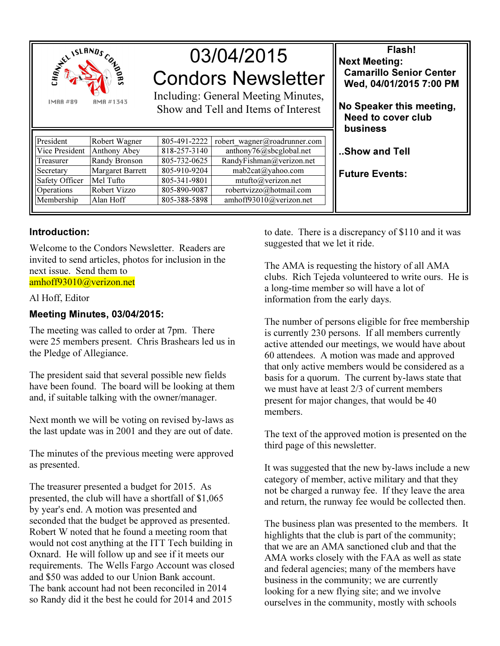

# 03/04/2015 Condors Newsletter

Including: General Meeting Minutes, Show and Tell and Items of Interest

| President      | Robert Wagner           | 805-491-2222 | robert wagner@roadrunner.com |
|----------------|-------------------------|--------------|------------------------------|
| Vice President | Anthony Abey            | 818-257-3140 | anthony76@sbcglobal.net      |
| Treasurer      | Randy Bronson           | 805-732-0625 | RandyFishman@verizon.net     |
| Secretary      | <b>Margaret Barrett</b> | 805-910-9204 | mab2cat@yahoo.com            |
| Safety Officer | Mel Tufto               | 805-341-9801 | mtufto@verizon.net           |
| Operations     | Robert Vizzo            | 805-890-9087 | robertvizzo@hotmail.com      |
| Membership     | Alan Hoff               | 805-388-5898 | amhoff93010@verizon.net      |
|                |                         |              |                              |

# Flash! Next Meeting: Camarillo Senior Center Wed, 04/01/2015 7:00 PM No Speaker this meeting, Need to cover club business ..Show and Tell

Future Events:

## Introduction:

Welcome to the Condors Newsletter. Readers are invited to send articles, photos for inclusion in the next issue. Send them to amhoff93010@verizon.net

#### Al Hoff, Editor

# Meeting Minutes, 03/04/2015:

The meeting was called to order at 7pm. There were 25 members present. Chris Brashears led us in the Pledge of Allegiance.

The president said that several possible new fields have been found. The board will be looking at them and, if suitable talking with the owner/manager.

Next month we will be voting on revised by-laws as the last update was in 2001 and they are out of date.

The minutes of the previous meeting were approved as presented.

The treasurer presented a budget for 2015. As presented, the club will have a shortfall of \$1,065 by year's end. A motion was presented and seconded that the budget be approved as presented. Robert W noted that he found a meeting room that would not cost anything at the ITT Tech building in Oxnard. He will follow up and see if it meets our requirements. The Wells Fargo Account was closed and \$50 was added to our Union Bank account. The bank account had not been reconciled in 2014 so Randy did it the best he could for 2014 and 2015

to date. There is a discrepancy of \$110 and it was suggested that we let it ride.

The AMA is requesting the history of all AMA clubs. Rich Tejeda volunteered to write ours. He is a long-time member so will have a lot of information from the early days.

The number of persons eligible for free membership is currently 230 persons. If all members currently active attended our meetings, we would have about 60 attendees. A motion was made and approved that only active members would be considered as a basis for a quorum. The current by-laws state that we must have at least 2/3 of current members present for major changes, that would be 40 members.

The text of the approved motion is presented on the third page of this newsletter.

It was suggested that the new by-laws include a new category of member, active military and that they not be charged a runway fee. If they leave the area and return, the runway fee would be collected then.

The business plan was presented to the members. It highlights that the club is part of the community; that we are an AMA sanctioned club and that the AMA works closely with the FAA as well as state and federal agencies; many of the members have business in the community; we are currently looking for a new flying site; and we involve ourselves in the community, mostly with schools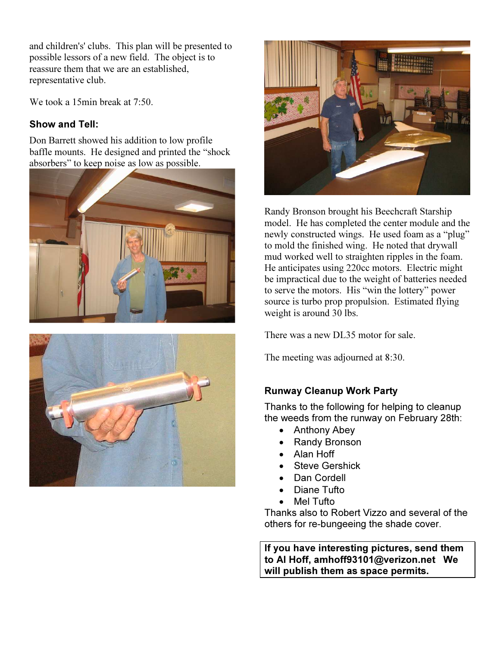and children's' clubs. This plan will be presented to possible lessors of a new field. The object is to reassure them that we are an established, representative club.

We took a 15min break at 7:50.

# Show and Tell:

Don Barrett showed his addition to low profile baffle mounts. He designed and printed the "shock absorbers" to keep noise as low as possible.







Randy Bronson brought his Beechcraft Starship model. He has completed the center module and the newly constructed wings. He used foam as a "plug" to mold the finished wing. He noted that drywall mud worked well to straighten ripples in the foam. He anticipates using 220cc motors. Electric might be impractical due to the weight of batteries needed to serve the motors. His "win the lottery" power source is turbo prop propulsion. Estimated flying weight is around 30 lbs.

There was a new DL35 motor for sale.

The meeting was adjourned at 8:30.

## Runway Cleanup Work Party

Thanks to the following for helping to cleanup the weeds from the runway on February 28th:

- Anthony Abey
- Randy Bronson
- Alan Hoff
- **Steve Gershick**
- Dan Cordell
- Diane Tufto
- **Mel Tufto**

Thanks also to Robert Vizzo and several of the others for re-bungeeing the shade cover.

If you have interesting pictures, send them to Al Hoff, amhoff93101@verizon.net We will publish them as space permits.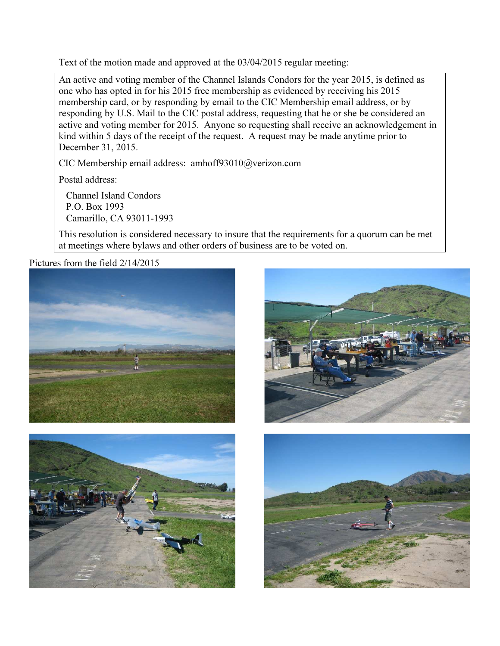Text of the motion made and approved at the 03/04/2015 regular meeting:

An active and voting member of the Channel Islands Condors for the year 2015, is defined as one who has opted in for his 2015 free membership as evidenced by receiving his 2015 membership card, or by responding by email to the CIC Membership email address, or by responding by U.S. Mail to the CIC postal address, requesting that he or she be considered an active and voting member for 2015. Anyone so requesting shall receive an acknowledgement in kind within 5 days of the receipt of the request. A request may be made anytime prior to December 31, 2015.

CIC Membership email address: amhoff93010@verizon.com

Postal address:

 Channel Island Condors P.O. Box 1993 Camarillo, CA 93011-1993

This resolution is considered necessary to insure that the requirements for a quorum can be met at meetings where bylaws and other orders of business are to be voted on.

Pictures from the field 2/14/2015